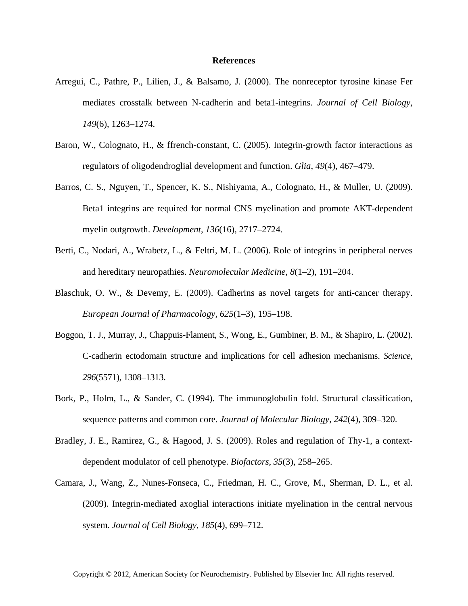## **References**

- Arregui, C., Pathre, P., Lilien, J., & Balsamo, J. (2000). The nonreceptor tyrosine kinase Fer mediates crosstalk between N-cadherin and beta1-integrins. *Journal of Cell Biology*, *149*(6), 1263–1274.
- Baron, W., Colognato, H., & ffrench-constant, C. (2005). Integrin-growth factor interactions as regulators of oligodendroglial development and function. *Glia*, *49*(4), 467–479.
- Barros, C. S., Nguyen, T., Spencer, K. S., Nishiyama, A., Colognato, H., & Muller, U. (2009). Beta1 integrins are required for normal CNS myelination and promote AKT-dependent myelin outgrowth. *Development*, *136*(16), 2717–2724.
- Berti, C., Nodari, A., Wrabetz, L., & Feltri, M. L. (2006). Role of integrins in peripheral nerves and hereditary neuropathies. *Neuromolecular Medicine*, *8*(1–2), 191–204.
- Blaschuk, O. W., & Devemy, E. (2009). Cadherins as novel targets for anti-cancer therapy. *European Journal of Pharmacology*, *625*(1–3), 195–198.
- Boggon, T. J., Murray, J., Chappuis-Flament, S., Wong, E., Gumbiner, B. M., & Shapiro, L. (2002). C-cadherin ectodomain structure and implications for cell adhesion mechanisms. *Science*, *296*(5571), 1308–1313.
- Bork, P., Holm, L., & Sander, C. (1994). The immunoglobulin fold. Structural classification, sequence patterns and common core. *Journal of Molecular Biology*, *242*(4), 309–320.
- Bradley, J. E., Ramirez, G., & Hagood, J. S. (2009). Roles and regulation of Thy-1, a contextdependent modulator of cell phenotype. *Biofactors*, *35*(3), 258–265.
- Camara, J., Wang, Z., Nunes-Fonseca, C., Friedman, H. C., Grove, M., Sherman, D. L., et al. (2009). Integrin-mediated axoglial interactions initiate myelination in the central nervous system. *Journal of Cell Biology*, *185*(4), 699–712.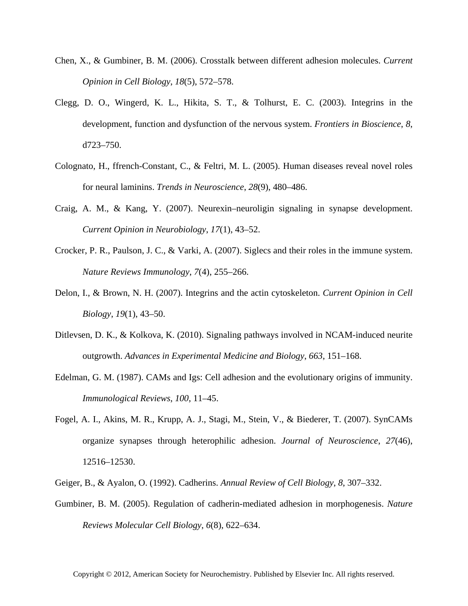- Chen, X., & Gumbiner, B. M. (2006). Crosstalk between different adhesion molecules. *Current Opinion in Cell Biology*, *18*(5), 572–578.
- Clegg, D. O., Wingerd, K. L., Hikita, S. T., & Tolhurst, E. C. (2003). Integrins in the development, function and dysfunction of the nervous system. *Frontiers in Bioscience*, *8*, d723–750.
- Colognato, H., ffrench-Constant, C., & Feltri, M. L. (2005). Human diseases reveal novel roles for neural laminins. *Trends in Neuroscience*, *28*(9), 480–486.
- Craig, A. M., & Kang, Y. (2007). Neurexin–neuroligin signaling in synapse development. *Current Opinion in Neurobiology*, *17*(1), 43–52.
- Crocker, P. R., Paulson, J. C., & Varki, A. (2007). Siglecs and their roles in the immune system. *Nature Reviews Immunology*, *7*(4), 255–266.
- Delon, I., & Brown, N. H. (2007). Integrins and the actin cytoskeleton. *Current Opinion in Cell Biology*, *19*(1), 43–50.
- Ditlevsen, D. K., & Kolkova, K. (2010). Signaling pathways involved in NCAM-induced neurite outgrowth. *Advances in Experimental Medicine and Biology*, *663*, 151–168.
- Edelman, G. M. (1987). CAMs and Igs: Cell adhesion and the evolutionary origins of immunity. *Immunological Reviews*, *100*, 11–45.
- Fogel, A. I., Akins, M. R., Krupp, A. J., Stagi, M., Stein, V., & Biederer, T. (2007). SynCAMs organize synapses through heterophilic adhesion. *Journal of Neuroscience*, *27*(46), 12516–12530.
- Geiger, B., & Ayalon, O. (1992). Cadherins. *Annual Review of Cell Biology*, *8*, 307–332.
- Gumbiner, B. M. (2005). Regulation of cadherin-mediated adhesion in morphogenesis. *Nature Reviews Molecular Cell Biology*, *6*(8), 622–634.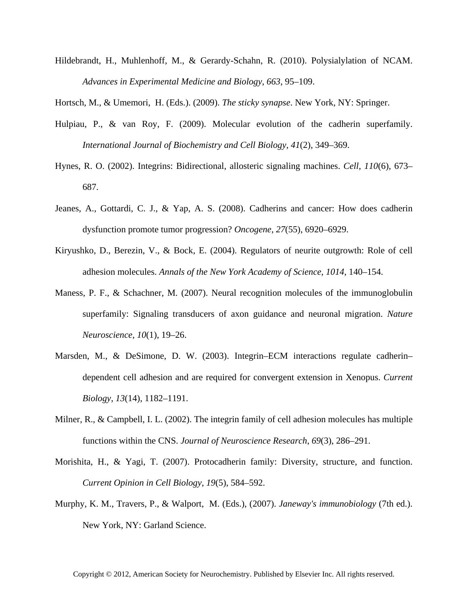Hildebrandt, H., Muhlenhoff, M., & Gerardy-Schahn, R. (2010). Polysialylation of NCAM. *Advances in Experimental Medicine and Biology*, *663*, 95–109.

Hortsch, M., & Umemori, H. (Eds.). (2009). *The sticky synapse*. New York, NY: Springer.

- Hulpiau, P., & van Roy, F. (2009). Molecular evolution of the cadherin superfamily. *International Journal of Biochemistry and Cell Biology*, *41*(2), 349–369.
- Hynes, R. O. (2002). Integrins: Bidirectional, allosteric signaling machines. *Cell*, *110*(6), 673– 687.
- Jeanes, A., Gottardi, C. J., & Yap, A. S. (2008). Cadherins and cancer: How does cadherin dysfunction promote tumor progression? *Oncogene*, *27*(55), 6920–6929.
- Kiryushko, D., Berezin, V., & Bock, E. (2004). Regulators of neurite outgrowth: Role of cell adhesion molecules. *Annals of the New York Academy of Science*, *1014*, 140–154.
- Maness, P. F., & Schachner, M. (2007). Neural recognition molecules of the immunoglobulin superfamily: Signaling transducers of axon guidance and neuronal migration. *Nature Neuroscience*, *10*(1), 19–26.
- Marsden, M., & DeSimone, D. W. (2003). Integrin–ECM interactions regulate cadherin– dependent cell adhesion and are required for convergent extension in Xenopus. *Current Biology*, *13*(14), 1182–1191.
- Milner, R., & Campbell, I. L. (2002). The integrin family of cell adhesion molecules has multiple functions within the CNS. *Journal of Neuroscience Research*, *69*(3), 286–291.
- Morishita, H., & Yagi, T. (2007). Protocadherin family: Diversity, structure, and function. *Current Opinion in Cell Biology*, *19*(5), 584–592.
- Murphy, K. M., Travers, P., & Walport, M. (Eds.), (2007). *Janeway's immunobiology* (7th ed.). New York, NY: Garland Science.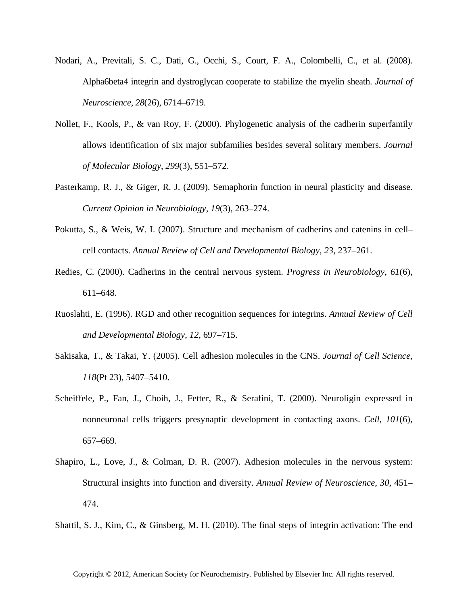- Nodari, A., Previtali, S. C., Dati, G., Occhi, S., Court, F. A., Colombelli, C., et al. (2008). Alpha6beta4 integrin and dystroglycan cooperate to stabilize the myelin sheath. *Journal of Neuroscience*, *28*(26), 6714–6719.
- Nollet, F., Kools, P., & van Roy, F. (2000). Phylogenetic analysis of the cadherin superfamily allows identification of six major subfamilies besides several solitary members. *Journal of Molecular Biology*, *299*(3), 551–572.
- Pasterkamp, R. J., & Giger, R. J. (2009). Semaphorin function in neural plasticity and disease. *Current Opinion in Neurobiology*, *19*(3), 263–274.
- Pokutta, S., & Weis, W. I. (2007). Structure and mechanism of cadherins and catenins in cell– cell contacts. *Annual Review of Cell and Developmental Biology*, *23*, 237–261.
- Redies, C. (2000). Cadherins in the central nervous system. *Progress in Neurobiology*, *61*(6), 611–648.
- Ruoslahti, E. (1996). RGD and other recognition sequences for integrins. *Annual Review of Cell and Developmental Biology*, *12*, 697–715.
- Sakisaka, T., & Takai, Y. (2005). Cell adhesion molecules in the CNS. *Journal of Cell Science*, *118*(Pt 23), 5407–5410.
- Scheiffele, P., Fan, J., Choih, J., Fetter, R., & Serafini, T. (2000). Neuroligin expressed in nonneuronal cells triggers presynaptic development in contacting axons. *Cell*, *101*(6), 657–669.
- Shapiro, L., Love, J., & Colman, D. R. (2007). Adhesion molecules in the nervous system: Structural insights into function and diversity. *Annual Review of Neuroscience*, *30*, 451– 474.
- Shattil, S. J., Kim, C., & Ginsberg, M. H. (2010). The final steps of integrin activation: The end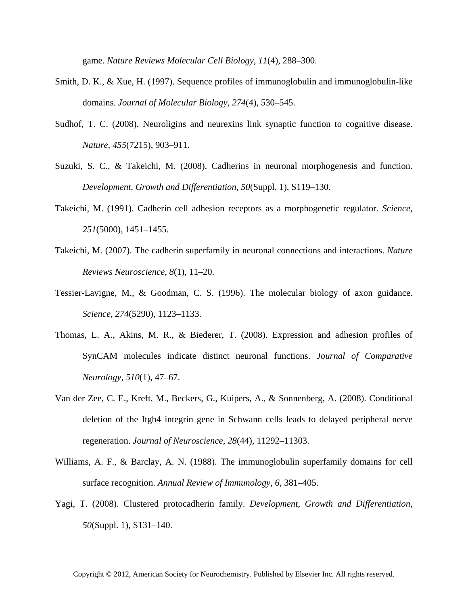game. *Nature Reviews Molecular Cell Biology*, *11*(4), 288–300.

- Smith, D. K., & Xue, H. (1997). Sequence profiles of immunoglobulin and immunoglobulin-like domains. *Journal of Molecular Biology*, *274*(4), 530–545.
- Sudhof, T. C. (2008). Neuroligins and neurexins link synaptic function to cognitive disease. *Nature*, *455*(7215), 903–911.
- Suzuki, S. C., & Takeichi, M. (2008). Cadherins in neuronal morphogenesis and function. *Development, Growth and Differentiation*, *50*(Suppl. 1), S119–130.
- Takeichi, M. (1991). Cadherin cell adhesion receptors as a morphogenetic regulator. *Science*, *251*(5000), 1451–1455.
- Takeichi, M. (2007). The cadherin superfamily in neuronal connections and interactions. *Nature Reviews Neuroscience*, *8*(1), 11–20.
- Tessier-Lavigne, M., & Goodman, C. S. (1996). The molecular biology of axon guidance. *Science*, *274*(5290), 1123–1133.
- Thomas, L. A., Akins, M. R., & Biederer, T. (2008). Expression and adhesion profiles of SynCAM molecules indicate distinct neuronal functions. *Journal of Comparative Neurology*, *510*(1), 47–67.
- Van der Zee, C. E., Kreft, M., Beckers, G., Kuipers, A., & Sonnenberg, A. (2008). Conditional deletion of the Itgb4 integrin gene in Schwann cells leads to delayed peripheral nerve regeneration. *Journal of Neuroscience*, *28*(44), 11292–11303.
- Williams, A. F., & Barclay, A. N. (1988). The immunoglobulin superfamily domains for cell surface recognition. *Annual Review of Immunology*, *6*, 381–405.
- Yagi, T. (2008). Clustered protocadherin family. *Development, Growth and Differentiation*, *50*(Suppl. 1), S131–140.